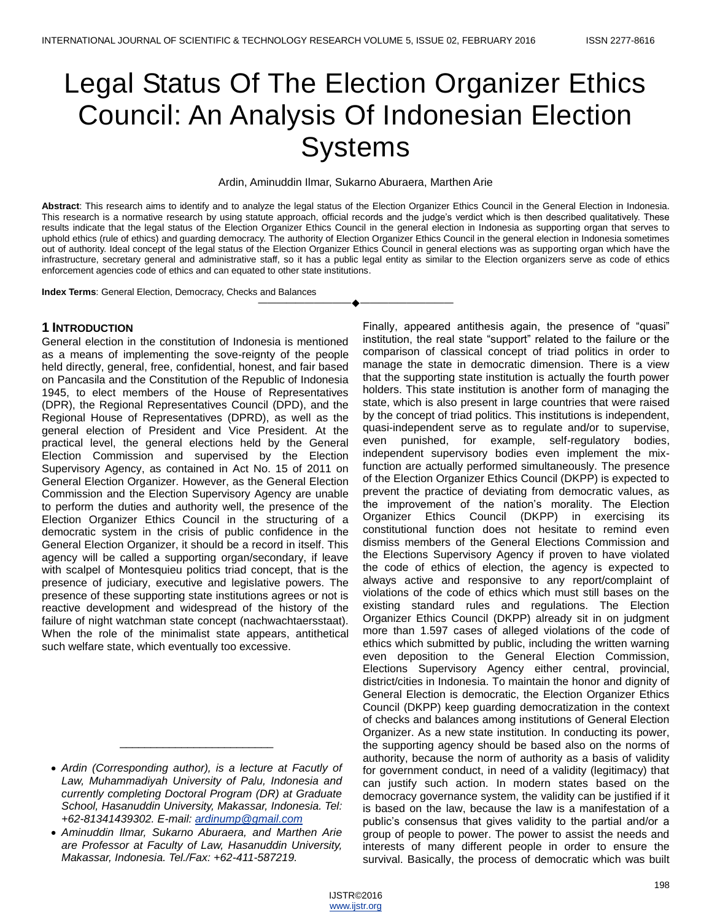# Legal Status Of The Election Organizer Ethics Council: An Analysis Of Indonesian Election **Systems**

Ardin, Aminuddin Ilmar, Sukarno Aburaera, Marthen Arie

**Abstract**: This research aims to identify and to analyze the legal status of the Election Organizer Ethics Council in the General Election in Indonesia. This research is a normative research by using statute approach, official records and the judge's verdict which is then described qualitatively. These results indicate that the legal status of the Election Organizer Ethics Council in the general election in Indonesia as supporting organ that serves to uphold ethics (rule of ethics) and guarding democracy. The authority of Election Organizer Ethics Council in the general election in Indonesia sometimes out of authority. Ideal concept of the legal status of the Election Organizer Ethics Council in general elections was as supporting organ which have the infrastructure, secretary general and administrative staff, so it has a public legal entity as similar to the Election organizers serve as code of ethics enforcement agencies code of ethics and can equated to other state institutions.

————————————————————

**Index Terms**: General Election, Democracy, Checks and Balances

## **1 INTRODUCTION**

General election in the constitution of Indonesia is mentioned as a means of implementing the sove-reignty of the people held directly, general, free, confidential, honest, and fair based on Pancasila and the Constitution of the Republic of Indonesia 1945, to elect members of the House of Representatives (DPR), the Regional Representatives Council (DPD), and the Regional House of Representatives (DPRD), as well as the general election of President and Vice President. At the practical level, the general elections held by the General Election Commission and supervised by the Election Supervisory Agency, as contained in Act No. 15 of 2011 on General Election Organizer. However, as the General Election Commission and the Election Supervisory Agency are unable to perform the duties and authority well, the presence of the Election Organizer Ethics Council in the structuring of a democratic system in the crisis of public confidence in the General Election Organizer, it should be a record in itself. This agency will be called a supporting organ/secondary, if leave with scalpel of Montesquieu politics triad concept, that is the presence of judiciary, executive and legislative powers. The presence of these supporting state institutions agrees or not is reactive development and widespread of the history of the failure of night watchman state concept (nachwachtaersstaat). When the role of the minimalist state appears, antithetical such welfare state, which eventually too excessive.

\_\_\_\_\_\_\_\_\_\_\_\_\_\_\_\_\_\_\_\_\_\_\_\_\_

Finally, appeared antithesis again, the presence of "quasi" institution, the real state "support" related to the failure or the comparison of classical concept of triad politics in order to manage the state in democratic dimension. There is a view that the supporting state institution is actually the fourth power holders. This state institution is another form of managing the state, which is also present in large countries that were raised by the concept of triad politics. This institutions is independent, quasi-independent serve as to regulate and/or to supervise, even punished, for example, self-regulatory bodies, independent supervisory bodies even implement the mixfunction are actually performed simultaneously. The presence of the Election Organizer Ethics Council (DKPP) is expected to prevent the practice of deviating from democratic values, as the improvement of the nation's morality. The Election Organizer Ethics Council (DKPP) in exercising its constitutional function does not hesitate to remind even dismiss members of the General Elections Commission and the Elections Supervisory Agency if proven to have violated the code of ethics of election, the agency is expected to always active and responsive to any report/complaint of violations of the code of ethics which must still bases on the existing standard rules and regulations. The Election Organizer Ethics Council (DKPP) already sit in on judgment more than 1.597 cases of alleged violations of the code of ethics which submitted by public, including the written warning even deposition to the General Election Commission, Elections Supervisory Agency either central, provincial, district/cities in Indonesia. To maintain the honor and dignity of General Election is democratic, the Election Organizer Ethics Council (DKPP) keep guarding democratization in the context of checks and balances among institutions of General Election Organizer. As a new state institution. In conducting its power, the supporting agency should be based also on the norms of authority, because the norm of authority as a basis of validity for government conduct, in need of a validity (legitimacy) that can justify such action. In modern states based on the democracy governance system, the validity can be justified if it is based on the law, because the law is a manifestation of a public's consensus that gives validity to the partial and/or a group of people to power. The power to assist the needs and interests of many different people in order to ensure the survival. Basically, the process of democratic which was built

*Ardin (Corresponding author), is a lecture at Facutly of Law, Muhammadiyah University of Palu, Indonesia and currently completing Doctoral Program (DR) at Graduate School, Hasanuddin University, Makassar, Indonesia. Tel: +62-81341439302. E-mail: [ardinump@gmail.com](mailto:ardinump@gmail.com)*

*Aminuddin Ilmar, Sukarno Aburaera, and Marthen Arie are Professor at Faculty of Law, Hasanuddin University, Makassar, Indonesia. Tel./Fax: +62-411-587219.*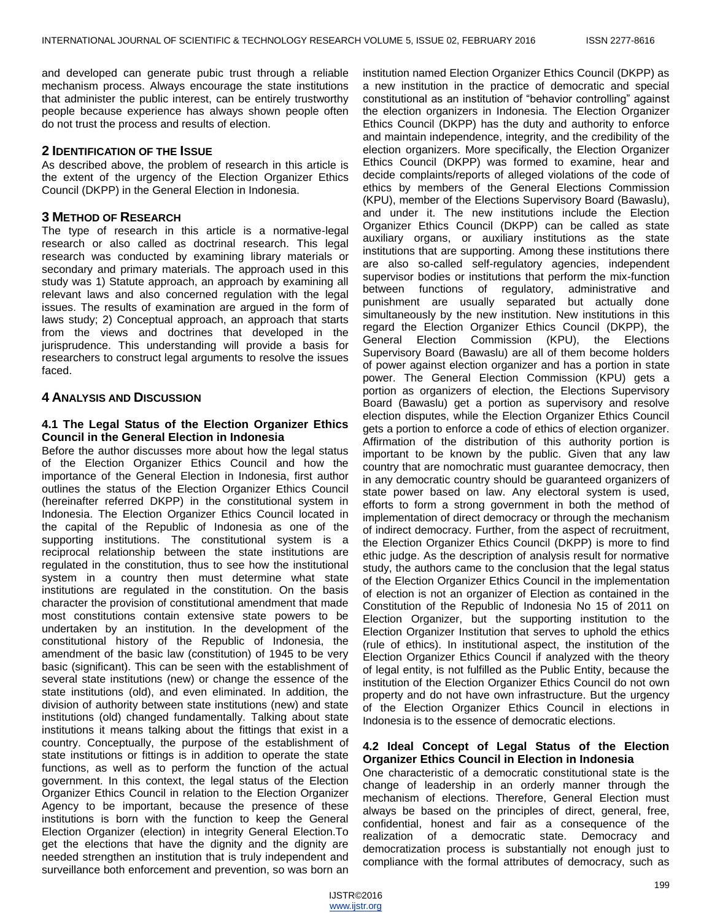and developed can generate pubic trust through a reliable mechanism process. Always encourage the state institutions that administer the public interest, can be entirely trustworthy people because experience has always shown people often do not trust the process and results of election.

#### **2 IDENTIFICATION OF THE ISSUE**

As described above, the problem of research in this article is the extent of the urgency of the Election Organizer Ethics Council (DKPP) in the General Election in Indonesia.

# **3 METHOD OF RESEARCH**

The type of research in this article is a normative-legal research or also called as doctrinal research. This legal research was conducted by examining library materials or secondary and primary materials. The approach used in this study was 1) Statute approach, an approach by examining all relevant laws and also concerned regulation with the legal issues. The results of examination are argued in the form of laws study; 2) Conceptual approach, an approach that starts from the views and doctrines that developed in the jurisprudence. This understanding will provide a basis for researchers to construct legal arguments to resolve the issues faced.

# **4 ANALYSIS AND DISCUSSION**

# **4.1 The Legal Status of the Election Organizer Ethics Council in the General Election in Indonesia**

Before the author discusses more about how the legal status of the Election Organizer Ethics Council and how the importance of the General Election in Indonesia, first author outlines the status of the Election Organizer Ethics Council (hereinafter referred DKPP) in the constitutional system in Indonesia. The Election Organizer Ethics Council located in the capital of the Republic of Indonesia as one of the supporting institutions. The constitutional system is a reciprocal relationship between the state institutions are regulated in the constitution, thus to see how the institutional system in a country then must determine what state institutions are regulated in the constitution. On the basis character the provision of constitutional amendment that made most constitutions contain extensive state powers to be undertaken by an institution. In the development of the constitutional history of the Republic of Indonesia, the amendment of the basic law (constitution) of 1945 to be very basic (significant). This can be seen with the establishment of several state institutions (new) or change the essence of the state institutions (old), and even eliminated. In addition, the division of authority between state institutions (new) and state institutions (old) changed fundamentally. Talking about state institutions it means talking about the fittings that exist in a country. Conceptually, the purpose of the establishment of state institutions or fittings is in addition to operate the state functions, as well as to perform the function of the actual government. In this context, the legal status of the Election Organizer Ethics Council in relation to the Election Organizer Agency to be important, because the presence of these institutions is born with the function to keep the General Election Organizer (election) in integrity General Election.To get the elections that have the dignity and the dignity are needed strengthen an institution that is truly independent and surveillance both enforcement and prevention, so was born an

institution named Election Organizer Ethics Council (DKPP) as a new institution in the practice of democratic and special constitutional as an institution of "behavior controlling" against the election organizers in Indonesia. The Election Organizer Ethics Council (DKPP) has the duty and authority to enforce and maintain independence, integrity, and the credibility of the election organizers. More specifically, the Election Organizer Ethics Council (DKPP) was formed to examine, hear and decide complaints/reports of alleged violations of the code of ethics by members of the General Elections Commission (KPU), member of the Elections Supervisory Board (Bawaslu), and under it. The new institutions include the Election Organizer Ethics Council (DKPP) can be called as state auxiliary organs, or auxiliary institutions as the state institutions that are supporting. Among these institutions there are also so-called self-regulatory agencies, independent supervisor bodies or institutions that perform the mix-function between functions of regulatory, administrative and punishment are usually separated but actually done simultaneously by the new institution. New institutions in this regard the Election Organizer Ethics Council (DKPP), the General Election Commission (KPU), the Elections Supervisory Board (Bawaslu) are all of them become holders of power against election organizer and has a portion in state power. The General Election Commission (KPU) gets a portion as organizers of election, the Elections Supervisory Board (Bawaslu) get a portion as supervisory and resolve election disputes, while the Election Organizer Ethics Council gets a portion to enforce a code of ethics of election organizer. Affirmation of the distribution of this authority portion is important to be known by the public. Given that any law country that are nomochratic must guarantee democracy, then in any democratic country should be guaranteed organizers of state power based on law. Any electoral system is used, efforts to form a strong government in both the method of implementation of direct democracy or through the mechanism of indirect democracy. Further, from the aspect of recruitment, the Election Organizer Ethics Council (DKPP) is more to find ethic judge. As the description of analysis result for normative study, the authors came to the conclusion that the legal status of the Election Organizer Ethics Council in the implementation of election is not an organizer of Election as contained in the Constitution of the Republic of Indonesia No 15 of 2011 on Election Organizer, but the supporting institution to the Election Organizer Institution that serves to uphold the ethics (rule of ethics). In institutional aspect, the institution of the Election Organizer Ethics Council if analyzed with the theory of legal entity, is not fulfilled as the Public Entity, because the institution of the Election Organizer Ethics Council do not own property and do not have own infrastructure. But the urgency of the Election Organizer Ethics Council in elections in Indonesia is to the essence of democratic elections.

#### **4.2 Ideal Concept of Legal Status of the Election Organizer Ethics Council in Election in Indonesia**

One characteristic of a democratic constitutional state is the change of leadership in an orderly manner through the mechanism of elections. Therefore, General Election must always be based on the principles of direct, general, free, confidential, honest and fair as a consequence of the realization of a democratic state. Democracy and democratization process is substantially not enough just to compliance with the formal attributes of democracy, such as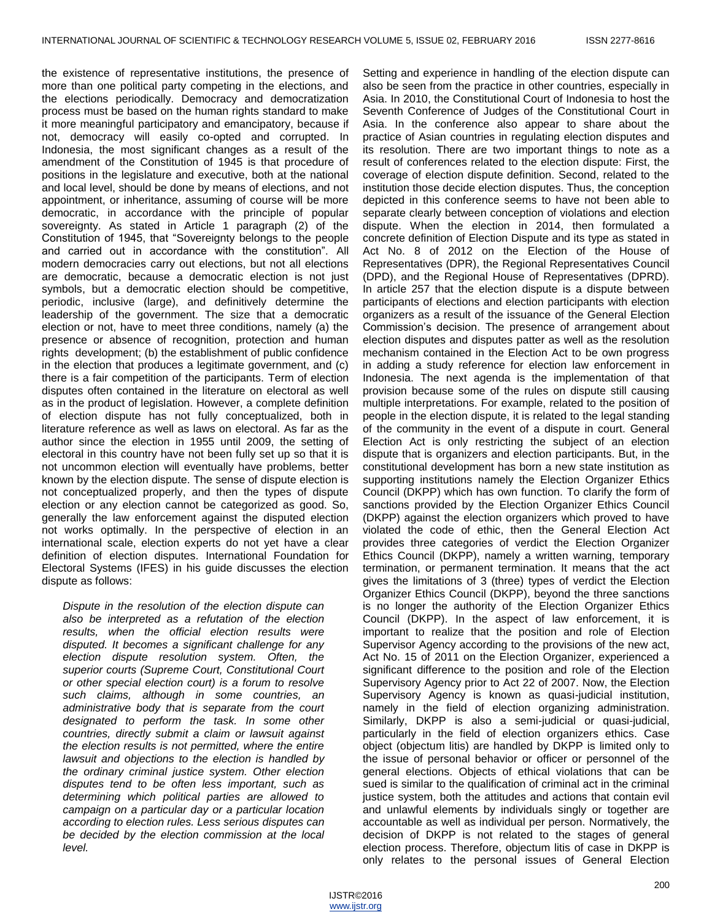the existence of representative institutions, the presence of more than one political party competing in the elections, and the elections periodically. Democracy and democratization process must be based on the human rights standard to make it more meaningful participatory and emancipatory, because if not, democracy will easily co-opted and corrupted. In Indonesia, the most significant changes as a result of the amendment of the Constitution of 1945 is that procedure of positions in the legislature and executive, both at the national and local level, should be done by means of elections, and not appointment, or inheritance, assuming of course will be more democratic, in accordance with the principle of popular sovereignty. As stated in Article 1 paragraph (2) of the Constitution of 1945, that "Sovereignty belongs to the people and carried out in accordance with the constitution". All modern democracies carry out elections, but not all elections are democratic, because a democratic election is not just symbols, but a democratic election should be competitive, periodic, inclusive (large), and definitively determine the leadership of the government. The size that a democratic election or not, have to meet three conditions, namely (a) the presence or absence of recognition, protection and human rights development; (b) the establishment of public confidence in the election that produces a legitimate government, and (c) there is a fair competition of the participants. Term of election disputes often contained in the literature on electoral as well as in the product of legislation. However, a complete definition of election dispute has not fully conceptualized, both in literature reference as well as laws on electoral. As far as the author since the election in 1955 until 2009, the setting of electoral in this country have not been fully set up so that it is not uncommon election will eventually have problems, better known by the election dispute. The sense of dispute election is not conceptualized properly, and then the types of dispute election or any election cannot be categorized as good. So, generally the law enforcement against the disputed election not works optimally. In the perspective of election in an international scale, election experts do not yet have a clear definition of election disputes. International Foundation for Electoral Systems (IFES) in his guide discusses the election dispute as follows:

*Dispute in the resolution of the election dispute can also be interpreted as a refutation of the election results, when the official election results were disputed. It becomes a significant challenge for any election dispute resolution system. Often, the superior courts (Supreme Court, Constitutional Court or other special election court) is a forum to resolve such claims, although in some countries, an administrative body that is separate from the court designated to perform the task. In some other countries, directly submit a claim or lawsuit against the election results is not permitted, where the entire lawsuit and objections to the election is handled by the ordinary criminal justice system. Other election disputes tend to be often less important, such as determining which political parties are allowed to campaign on a particular day or a particular location according to election rules. Less serious disputes can be decided by the election commission at the local level.*

Setting and experience in handling of the election dispute can also be seen from the practice in other countries, especially in Asia. In 2010, the Constitutional Court of Indonesia to host the Seventh Conference of Judges of the Constitutional Court in Asia. In the conference also appear to share about the practice of Asian countries in regulating election disputes and its resolution. There are two important things to note as a result of conferences related to the election dispute: First, the coverage of election dispute definition. Second, related to the institution those decide election disputes. Thus, the conception depicted in this conference seems to have not been able to separate clearly between conception of violations and election dispute. When the election in 2014, then formulated a concrete definition of Election Dispute and its type as stated in Act No. 8 of 2012 on the Election of the House of Representatives (DPR), the Regional Representatives Council (DPD), and the Regional House of Representatives (DPRD). In article 257 that the election dispute is a dispute between participants of elections and election participants with election organizers as a result of the issuance of the General Election Commission's decision. The presence of arrangement about election disputes and disputes patter as well as the resolution mechanism contained in the Election Act to be own progress in adding a study reference for election law enforcement in Indonesia. The next agenda is the implementation of that provision because some of the rules on dispute still causing multiple interpretations. For example, related to the position of people in the election dispute, it is related to the legal standing of the community in the event of a dispute in court. General Election Act is only restricting the subject of an election dispute that is organizers and election participants. But, in the constitutional development has born a new state institution as supporting institutions namely the Election Organizer Ethics Council (DKPP) which has own function. To clarify the form of sanctions provided by the Election Organizer Ethics Council (DKPP) against the election organizers which proved to have violated the code of ethic, then the General Election Act provides three categories of verdict the Election Organizer Ethics Council (DKPP), namely a written warning, temporary termination, or permanent termination. It means that the act gives the limitations of 3 (three) types of verdict the Election Organizer Ethics Council (DKPP), beyond the three sanctions is no longer the authority of the Election Organizer Ethics Council (DKPP). In the aspect of law enforcement, it is important to realize that the position and role of Election Supervisor Agency according to the provisions of the new act, Act No. 15 of 2011 on the Election Organizer, experienced a significant difference to the position and role of the Election Supervisory Agency prior to Act 22 of 2007. Now, the Election Supervisory Agency is known as quasi-judicial institution, namely in the field of election organizing administration. Similarly, DKPP is also a semi-judicial or quasi-judicial, particularly in the field of election organizers ethics. Case object (objectum litis) are handled by DKPP is limited only to the issue of personal behavior or officer or personnel of the general elections. Objects of ethical violations that can be sued is similar to the qualification of criminal act in the criminal justice system, both the attitudes and actions that contain evil and unlawful elements by individuals singly or together are accountable as well as individual per person. Normatively, the decision of DKPP is not related to the stages of general election process. Therefore, objectum litis of case in DKPP is only relates to the personal issues of General Election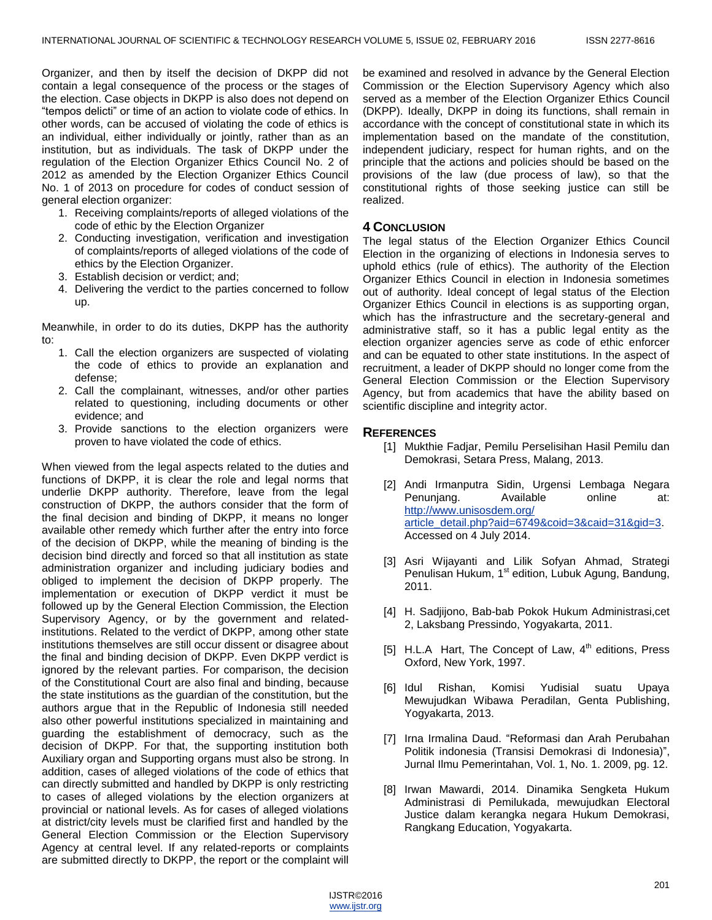Organizer, and then by itself the decision of DKPP did not contain a legal consequence of the process or the stages of the election. Case objects in DKPP is also does not depend on "tempos delicti" or time of an action to violate code of ethics. In other words, can be accused of violating the code of ethics is an individual, either individually or jointly, rather than as an institution, but as individuals. The task of DKPP under the regulation of the Election Organizer Ethics Council No. 2 of 2012 as amended by the Election Organizer Ethics Council No. 1 of 2013 on procedure for codes of conduct session of general election organizer:

- 1. Receiving complaints/reports of alleged violations of the code of ethic by the Election Organizer
- 2. Conducting investigation, verification and investigation of complaints/reports of alleged violations of the code of ethics by the Election Organizer.
- 3. Establish decision or verdict; and;
- 4. Delivering the verdict to the parties concerned to follow up.

Meanwhile, in order to do its duties, DKPP has the authority to:

- 1. Call the election organizers are suspected of violating the code of ethics to provide an explanation and defense;
- 2. Call the complainant, witnesses, and/or other parties related to questioning, including documents or other evidence; and
- 3. Provide sanctions to the election organizers were proven to have violated the code of ethics.

When viewed from the legal aspects related to the duties and functions of DKPP, it is clear the role and legal norms that underlie DKPP authority. Therefore, leave from the legal construction of DKPP, the authors consider that the form of the final decision and binding of DKPP, it means no longer available other remedy which further after the entry into force of the decision of DKPP, while the meaning of binding is the decision bind directly and forced so that all institution as state administration organizer and including judiciary bodies and obliged to implement the decision of DKPP properly. The implementation or execution of DKPP verdict it must be followed up by the General Election Commission, the Election Supervisory Agency, or by the government and relatedinstitutions. Related to the verdict of DKPP, among other state institutions themselves are still occur dissent or disagree about the final and binding decision of DKPP. Even DKPP verdict is ignored by the relevant parties. For comparison, the decision of the Constitutional Court are also final and binding, because the state institutions as the guardian of the constitution, but the authors argue that in the Republic of Indonesia still needed also other powerful institutions specialized in maintaining and guarding the establishment of democracy, such as the decision of DKPP. For that, the supporting institution both Auxiliary organ and Supporting organs must also be strong. In addition, cases of alleged violations of the code of ethics that can directly submitted and handled by DKPP is only restricting to cases of alleged violations by the election organizers at provincial or national levels. As for cases of alleged violations at district/city levels must be clarified first and handled by the General Election Commission or the Election Supervisory Agency at central level. If any related-reports or complaints are submitted directly to DKPP, the report or the complaint will

be examined and resolved in advance by the General Election Commission or the Election Supervisory Agency which also served as a member of the Election Organizer Ethics Council (DKPP). Ideally, DKPP in doing its functions, shall remain in accordance with the concept of constitutional state in which its implementation based on the mandate of the constitution, independent judiciary, respect for human rights, and on the principle that the actions and policies should be based on the provisions of the law (due process of law), so that the constitutional rights of those seeking justice can still be realized.

## **4 CONCLUSION**

The legal status of the Election Organizer Ethics Council Election in the organizing of elections in Indonesia serves to uphold ethics (rule of ethics). The authority of the Election Organizer Ethics Council in election in Indonesia sometimes out of authority. Ideal concept of legal status of the Election Organizer Ethics Council in elections is as supporting organ, which has the infrastructure and the secretary-general and administrative staff, so it has a public legal entity as the election organizer agencies serve as code of ethic enforcer and can be equated to other state institutions. In the aspect of recruitment, a leader of DKPP should no longer come from the General Election Commission or the Election Supervisory Agency, but from academics that have the ability based on scientific discipline and integrity actor.

## **REFERENCES**

- [1] Mukthie Fadjar, Pemilu Perselisihan Hasil Pemilu dan Demokrasi, Setara Press, Malang, 2013.
- [2] Andi Irmanputra Sidin, Urgensi Lembaga Negara Penunjang. Available online at: [http://www.unisosdem.org/](http://www.unisosdem.org/%20article_detail.php?aid=6749&coid=3&caid=31&gid=3)  [article\\_detail.php?aid=6749&coid=3&caid=31&gid=3.](http://www.unisosdem.org/%20article_detail.php?aid=6749&coid=3&caid=31&gid=3) Accessed on 4 July 2014.
- [3] Asri Wijayanti and Lilik Sofyan Ahmad, Strategi Penulisan Hukum, 1<sup>st</sup> edition, Lubuk Agung, Bandung, 2011.
- [4] H. Sadjijono, Bab-bab Pokok Hukum Administrasi,cet 2, Laksbang Pressindo, Yogyakarta, 2011.
- [5] H.L.A Hart, The Concept of Law, 4<sup>th</sup> editions, Press Oxford, New York, 1997.
- [6] Idul Rishan, Komisi Yudisial suatu Upaya Mewujudkan Wibawa Peradilan, Genta Publishing, Yogyakarta, 2013.
- [7] Irna Irmalina Daud. "Reformasi dan Arah Perubahan Politik indonesia (Transisi Demokrasi di Indonesia)", Jurnal Ilmu Pemerintahan, Vol. 1, No. 1. 2009, pg. 12.
- [8] Irwan Mawardi, 2014. Dinamika Sengketa Hukum Administrasi di Pemilukada, mewujudkan Electoral Justice dalam kerangka negara Hukum Demokrasi, Rangkang Education, Yogyakarta.